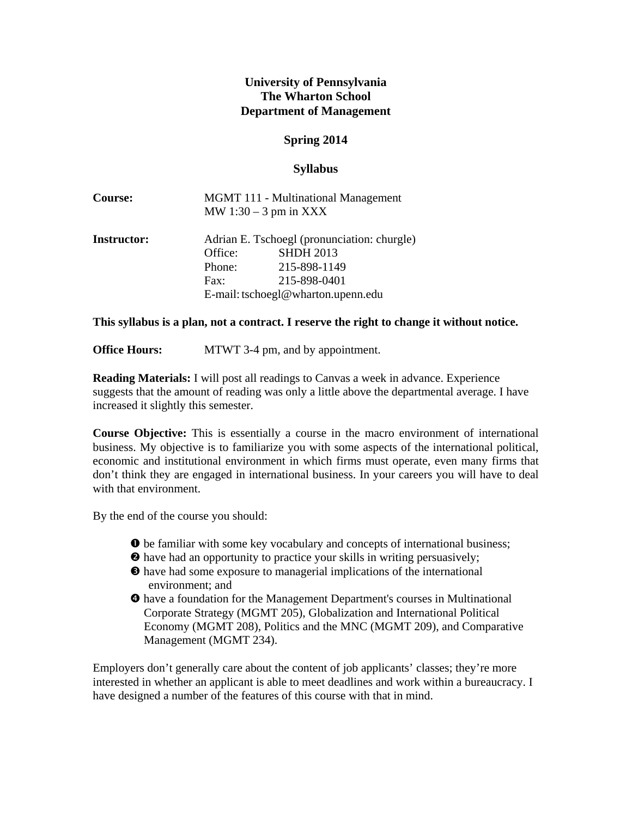# **University of Pennsylvania The Wharton School Department of Management**

# **Spring 2014**

## **Syllabus**

| <b>Course:</b>     | <b>MGMT 111 - Multinational Management</b><br>MW $1:30 - 3$ pm in XXX |                                                                 |  |
|--------------------|-----------------------------------------------------------------------|-----------------------------------------------------------------|--|
| <b>Instructor:</b> | Office:                                                               | Adrian E. Tschoegl (pronunciation: churgle)<br><b>SHDH 2013</b> |  |
|                    | Phone:                                                                | 215-898-1149                                                    |  |
|                    | Fax:                                                                  | 215-898-0401                                                    |  |
|                    | E-mail: tschoegl@wharton.upenn.edu                                    |                                                                 |  |

**This syllabus is a plan, not a contract. I reserve the right to change it without notice.** 

**Office Hours:** MTWT 3-4 pm, and by appointment.

**Reading Materials:** I will post all readings to Canvas a week in advance. Experience suggests that the amount of reading was only a little above the departmental average. I have increased it slightly this semester.

**Course Objective:** This is essentially a course in the macro environment of international business. My objective is to familiarize you with some aspects of the international political, economic and institutional environment in which firms must operate, even many firms that don't think they are engaged in international business. In your careers you will have to deal with that environment.

By the end of the course you should:

- $\bullet$  be familiar with some key vocabulary and concepts of international business;
- have had an opportunity to practice your skills in writing persuasively;
- have had some exposure to managerial implications of the international environment; and
- have a foundation for the Management Department's courses in Multinational Corporate Strategy (MGMT 205), Globalization and International Political Economy (MGMT 208), Politics and the MNC (MGMT 209), and Comparative Management (MGMT 234).

Employers don't generally care about the content of job applicants' classes; they're more interested in whether an applicant is able to meet deadlines and work within a bureaucracy. I have designed a number of the features of this course with that in mind.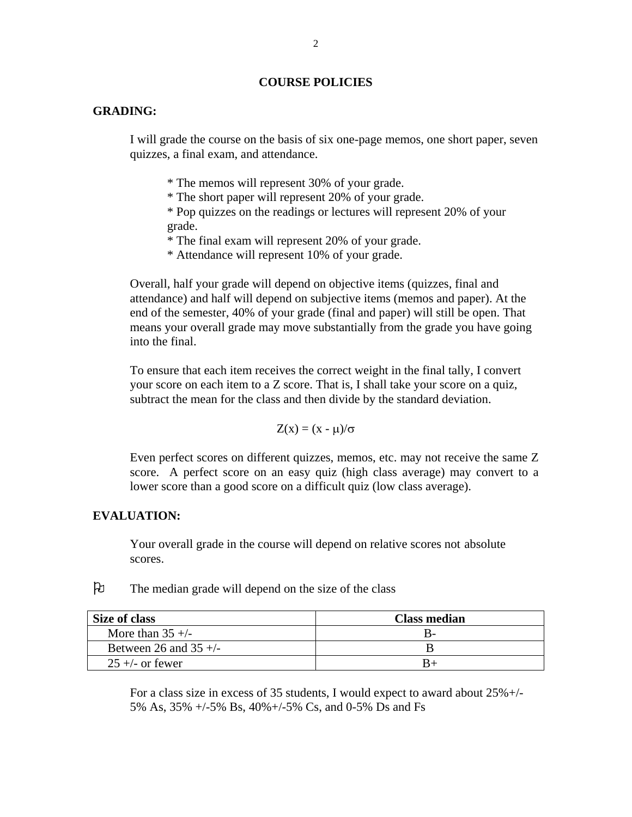#### **COURSE POLICIES**

#### **GRADING:**

I will grade the course on the basis of six one-page memos, one short paper, seven quizzes, a final exam, and attendance.

\* The memos will represent 30% of your grade.

\* The short paper will represent 20% of your grade.

\* Pop quizzes on the readings or lectures will represent 20% of your grade.

\* The final exam will represent 20% of your grade.

\* Attendance will represent 10% of your grade.

Overall, half your grade will depend on objective items (quizzes, final and attendance) and half will depend on subjective items (memos and paper). At the end of the semester, 40% of your grade (final and paper) will still be open. That means your overall grade may move substantially from the grade you have going into the final.

To ensure that each item receives the correct weight in the final tally, I convert your score on each item to a Z score. That is, I shall take your score on a quiz, subtract the mean for the class and then divide by the standard deviation.

$$
Z(x) = (x - \mu)/\sigma
$$

Even perfect scores on different quizzes, memos, etc. may not receive the same Z score. A perfect score on an easy quiz (high class average) may convert to a lower score than a good score on a difficult quiz (low class average).

## **EVALUATION:**

Your overall grade in the course will depend on relative scores not absolute scores.

The median grade will depend on the size of the class

| Size of class           | <b>Class median</b> |  |  |
|-------------------------|---------------------|--|--|
| More than $35 +/-$      |                     |  |  |
| Between 26 and $35 +/-$ |                     |  |  |
| $25 +$ - or fewer       |                     |  |  |

For a class size in excess of 35 students, I would expect to award about 25%+/- 5% As, 35% +/-5% Bs, 40%+/-5% Cs, and 0-5% Ds and Fs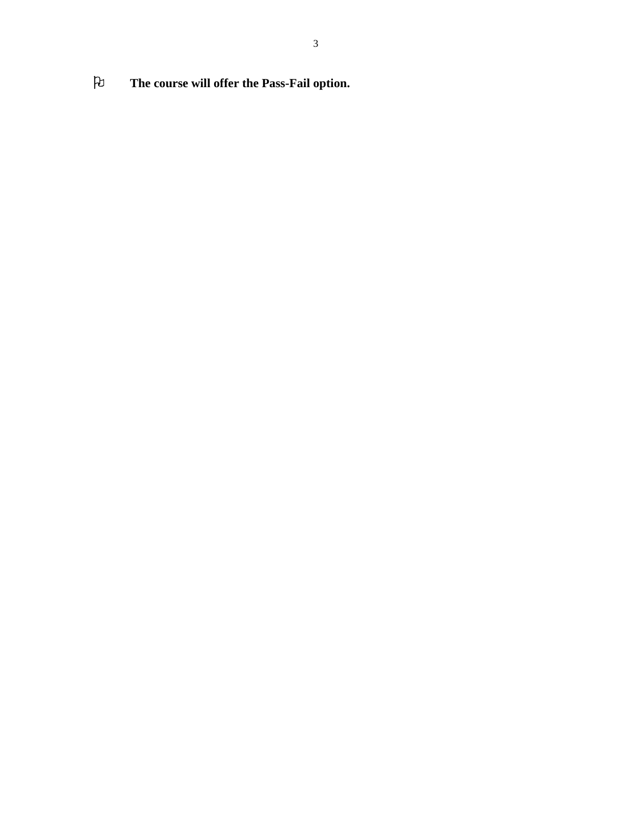**The course will offer the Pass-Fail option.**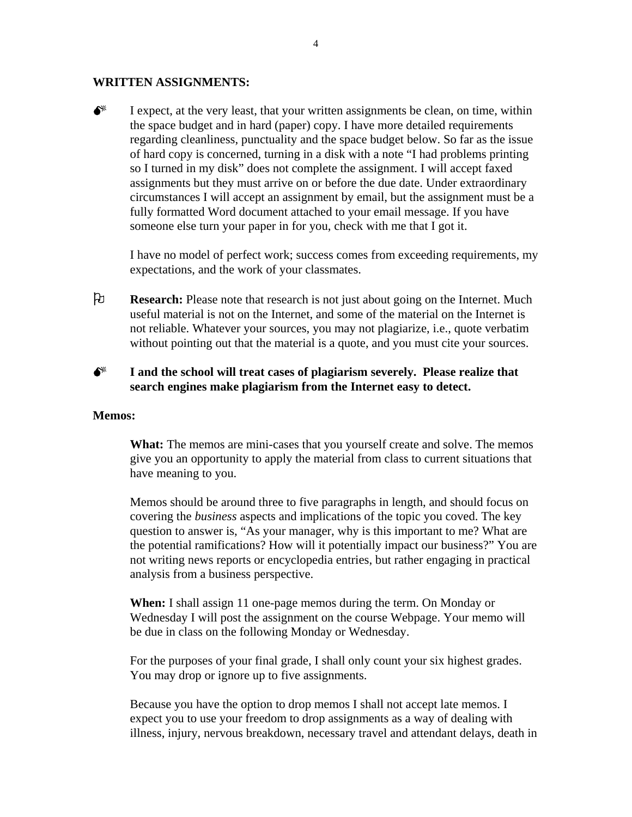#### **WRITTEN ASSIGNMENTS:**

 $\bullet^*$  I expect, at the very least, that your written assignments be clean, on time, within the space budget and in hard (paper) copy. I have more detailed requirements regarding cleanliness, punctuality and the space budget below. So far as the issue of hard copy is concerned, turning in a disk with a note "I had problems printing so I turned in my disk" does not complete the assignment. I will accept faxed assignments but they must arrive on or before the due date. Under extraordinary circumstances I will accept an assignment by email, but the assignment must be a fully formatted Word document attached to your email message. If you have someone else turn your paper in for you, check with me that I got it.

I have no model of perfect work; success comes from exceeding requirements, my expectations, and the work of your classmates.

 **Research:** Please note that research is not just about going on the Internet. Much useful material is not on the Internet, and some of the material on the Internet is not reliable. Whatever your sources, you may not plagiarize, i.e., quote verbatim without pointing out that the material is a quote, and you must cite your sources.

# $\bullet^*$  I and the school will treat cases of plagiarism severely. Please realize that **search engines make plagiarism from the Internet easy to detect.**

#### **Memos:**

**What:** The memos are mini-cases that you yourself create and solve. The memos give you an opportunity to apply the material from class to current situations that have meaning to you.

Memos should be around three to five paragraphs in length, and should focus on covering the *business* aspects and implications of the topic you coved. The key question to answer is, "As your manager, why is this important to me? What are the potential ramifications? How will it potentially impact our business?" You are not writing news reports or encyclopedia entries, but rather engaging in practical analysis from a business perspective.

**When:** I shall assign 11 one-page memos during the term. On Monday or Wednesday I will post the assignment on the course Webpage. Your memo will be due in class on the following Monday or Wednesday.

For the purposes of your final grade, I shall only count your six highest grades. You may drop or ignore up to five assignments.

Because you have the option to drop memos I shall not accept late memos. I expect you to use your freedom to drop assignments as a way of dealing with illness, injury, nervous breakdown, necessary travel and attendant delays, death in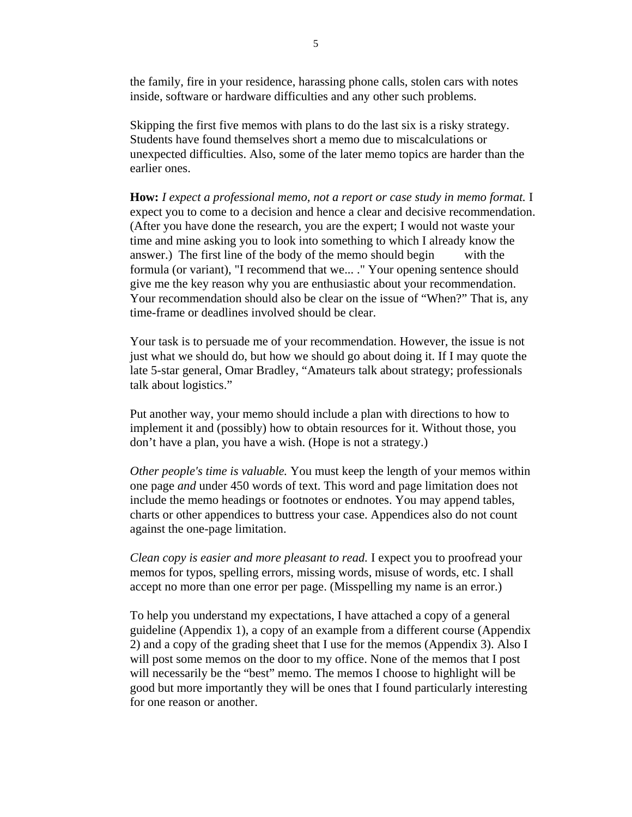the family, fire in your residence, harassing phone calls, stolen cars with notes inside, software or hardware difficulties and any other such problems.

Skipping the first five memos with plans to do the last six is a risky strategy. Students have found themselves short a memo due to miscalculations or unexpected difficulties. Also, some of the later memo topics are harder than the earlier ones.

**How:** *I expect a professional memo, not a report or case study in memo format.* I expect you to come to a decision and hence a clear and decisive recommendation. (After you have done the research, you are the expert; I would not waste your time and mine asking you to look into something to which I already know the answer.) The first line of the body of the memo should begin with the formula (or variant), "I recommend that we... ." Your opening sentence should give me the key reason why you are enthusiastic about your recommendation. Your recommendation should also be clear on the issue of "When?" That is, any time-frame or deadlines involved should be clear.

Your task is to persuade me of your recommendation. However, the issue is not just what we should do, but how we should go about doing it. If I may quote the late 5-star general, Omar Bradley, "Amateurs talk about strategy; professionals talk about logistics."

Put another way, your memo should include a plan with directions to how to implement it and (possibly) how to obtain resources for it. Without those, you don't have a plan, you have a wish. (Hope is not a strategy.)

*Other people's time is valuable.* You must keep the length of your memos within one page *and* under 450 words of text. This word and page limitation does not include the memo headings or footnotes or endnotes. You may append tables, charts or other appendices to buttress your case. Appendices also do not count against the one-page limitation.

*Clean copy is easier and more pleasant to read.* I expect you to proofread your memos for typos, spelling errors, missing words, misuse of words, etc. I shall accept no more than one error per page. (Misspelling my name is an error.)

To help you understand my expectations, I have attached a copy of a general guideline (Appendix 1), a copy of an example from a different course (Appendix 2) and a copy of the grading sheet that I use for the memos (Appendix 3). Also I will post some memos on the door to my office. None of the memos that I post will necessarily be the "best" memo. The memos I choose to highlight will be good but more importantly they will be ones that I found particularly interesting for one reason or another.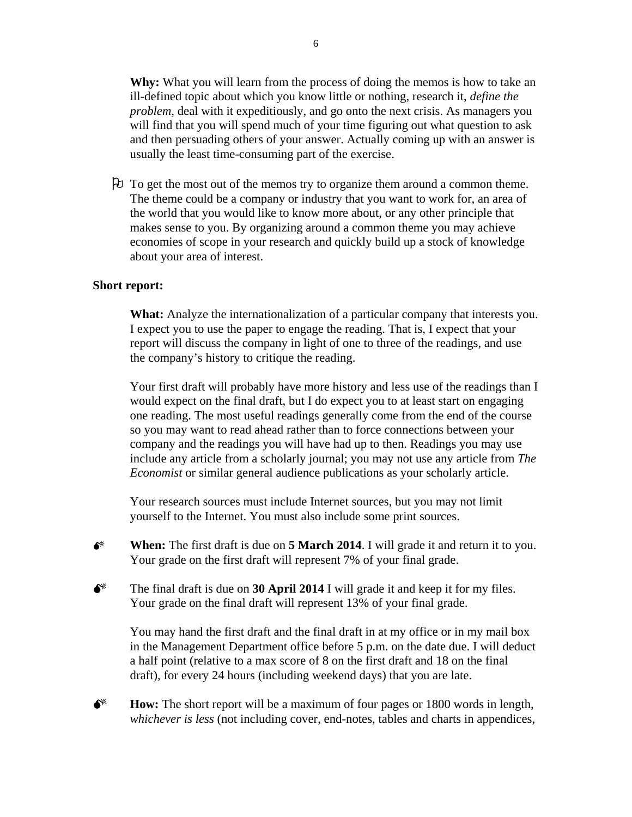**Why:** What you will learn from the process of doing the memos is how to take an ill-defined topic about which you know little or nothing, research it, *define the problem*, deal with it expeditiously, and go onto the next crisis. As managers you will find that you will spend much of your time figuring out what question to ask and then persuading others of your answer. Actually coming up with an answer is usually the least time-consuming part of the exercise.

 To get the most out of the memos try to organize them around a common theme. The theme could be a company or industry that you want to work for, an area of the world that you would like to know more about, or any other principle that makes sense to you. By organizing around a common theme you may achieve economies of scope in your research and quickly build up a stock of knowledge about your area of interest.

#### **Short report:**

**What:** Analyze the internationalization of a particular company that interests you. I expect you to use the paper to engage the reading. That is, I expect that your report will discuss the company in light of one to three of the readings, and use the company's history to critique the reading.

Your first draft will probably have more history and less use of the readings than I would expect on the final draft, but I do expect you to at least start on engaging one reading. The most useful readings generally come from the end of the course so you may want to read ahead rather than to force connections between your company and the readings you will have had up to then. Readings you may use include any article from a scholarly journal; you may not use any article from *The Economist* or similar general audience publications as your scholarly article.

Your research sources must include Internet sources, but you may not limit yourself to the Internet. You must also include some print sources.

 **When:** The first draft is due on **5 March 2014**. I will grade it and return it to you. Your grade on the first draft will represent 7% of your final grade.

The final draft is due on **30 April 2014** I will grade it and keep it for my files. Your grade on the final draft will represent 13% of your final grade.

You may hand the first draft and the final draft in at my office or in my mail box in the Management Department office before 5 p.m. on the date due. I will deduct a half point (relative to a max score of 8 on the first draft and 18 on the final draft), for every 24 hours (including weekend days) that you are late.

**Fig. 3.** How: The short report will be a maximum of four pages or 1800 words in length, *whichever is less* (not including cover, end-notes, tables and charts in appendices,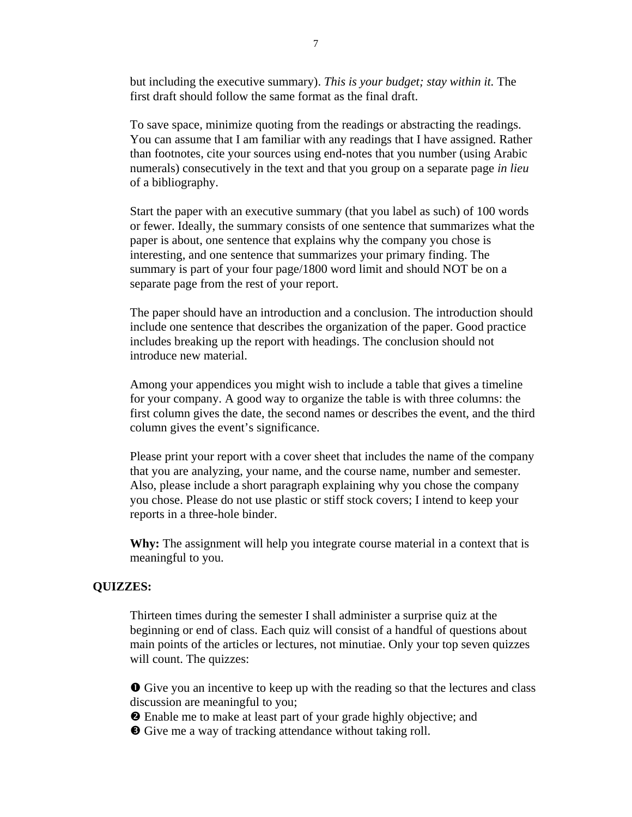but including the executive summary). *This is your budget; stay within it.* The first draft should follow the same format as the final draft.

To save space, minimize quoting from the readings or abstracting the readings. You can assume that I am familiar with any readings that I have assigned. Rather than footnotes, cite your sources using end-notes that you number (using Arabic numerals) consecutively in the text and that you group on a separate page *in lieu* of a bibliography.

Start the paper with an executive summary (that you label as such) of 100 words or fewer. Ideally, the summary consists of one sentence that summarizes what the paper is about, one sentence that explains why the company you chose is interesting, and one sentence that summarizes your primary finding. The summary is part of your four page/1800 word limit and should NOT be on a separate page from the rest of your report.

The paper should have an introduction and a conclusion. The introduction should include one sentence that describes the organization of the paper. Good practice includes breaking up the report with headings. The conclusion should not introduce new material.

Among your appendices you might wish to include a table that gives a timeline for your company. A good way to organize the table is with three columns: the first column gives the date, the second names or describes the event, and the third column gives the event's significance.

Please print your report with a cover sheet that includes the name of the company that you are analyzing, your name, and the course name, number and semester. Also, please include a short paragraph explaining why you chose the company you chose. Please do not use plastic or stiff stock covers; I intend to keep your reports in a three-hole binder.

**Why:** The assignment will help you integrate course material in a context that is meaningful to you.

#### **QUIZZES:**

Thirteen times during the semester I shall administer a surprise quiz at the beginning or end of class. Each quiz will consist of a handful of questions about main points of the articles or lectures, not minutiae. Only your top seven quizzes will count. The quizzes:

 Give you an incentive to keep up with the reading so that the lectures and class discussion are meaningful to you;

Enable me to make at least part of your grade highly objective; and

Give me a way of tracking attendance without taking roll.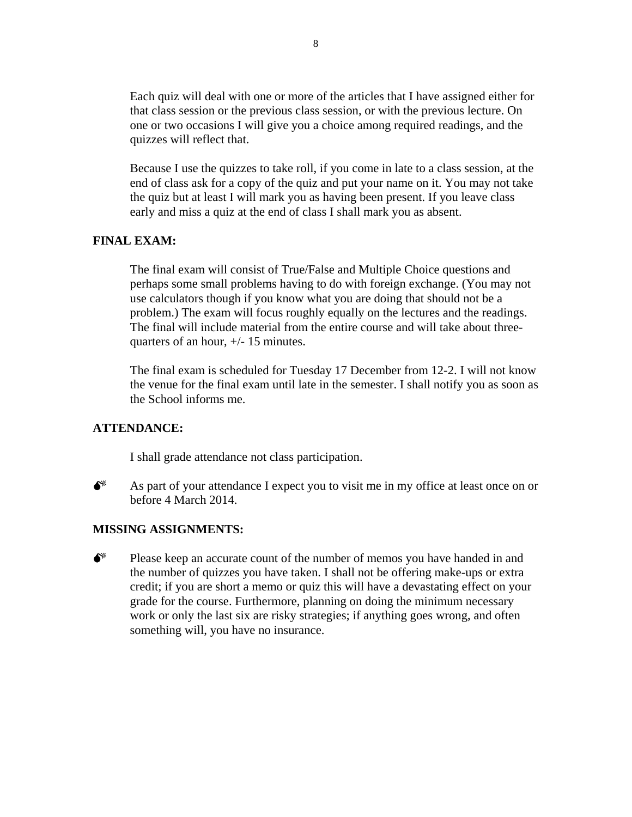Each quiz will deal with one or more of the articles that I have assigned either for that class session or the previous class session, or with the previous lecture. On one or two occasions I will give you a choice among required readings, and the quizzes will reflect that.

Because I use the quizzes to take roll, if you come in late to a class session, at the end of class ask for a copy of the quiz and put your name on it. You may not take the quiz but at least I will mark you as having been present. If you leave class early and miss a quiz at the end of class I shall mark you as absent.

### **FINAL EXAM:**

The final exam will consist of True/False and Multiple Choice questions and perhaps some small problems having to do with foreign exchange. (You may not use calculators though if you know what you are doing that should not be a problem.) The exam will focus roughly equally on the lectures and the readings. The final will include material from the entire course and will take about threequarters of an hour, +/- 15 minutes.

The final exam is scheduled for Tuesday 17 December from 12-2. I will not know the venue for the final exam until late in the semester. I shall notify you as soon as the School informs me.

#### **ATTENDANCE:**

I shall grade attendance not class participation.



 $\bullet^*$  As part of your attendance I expect you to visit me in my office at least once on or before 4 March 2014.

#### **MISSING ASSIGNMENTS:**

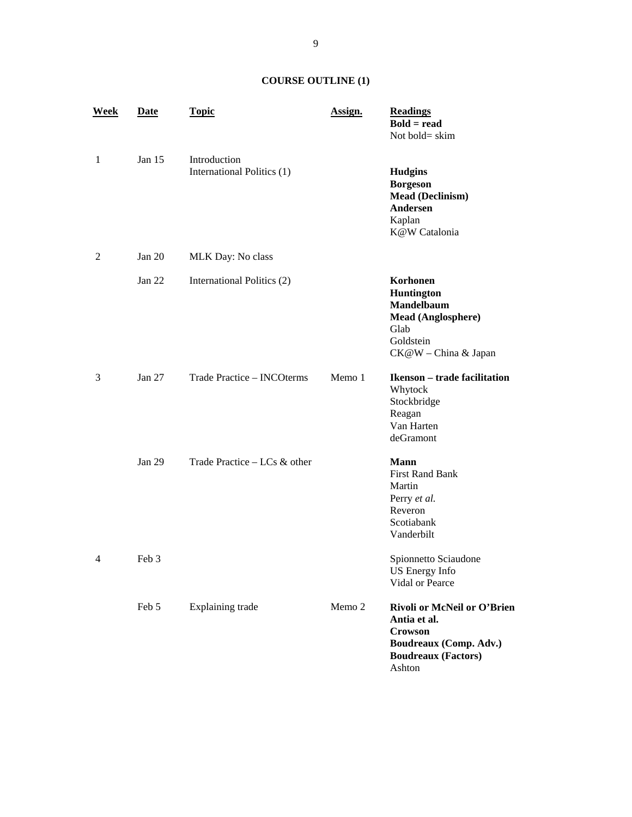# **COURSE OUTLINE (1)**

| <b>Week</b>    | Date              | <b>Topic</b>                               | Assign. | <b>Readings</b><br>$Bold = read$<br>Not bold= skim                                                                                                        |
|----------------|-------------------|--------------------------------------------|---------|-----------------------------------------------------------------------------------------------------------------------------------------------------------|
| 1              | Jan $15$          | Introduction<br>International Politics (1) |         | <b>Hudgins</b><br><b>Borgeson</b><br><b>Mead (Declinism)</b><br>Andersen<br>Kaplan<br>K@W Catalonia                                                       |
| $\overline{2}$ | Jan $20$          | MLK Day: No class                          |         |                                                                                                                                                           |
|                | Jan $22$          | International Politics (2)                 |         | Korhonen<br><b>Huntington</b><br><b>Mandelbaum</b><br><b>Mead (Anglosphere)</b><br>Glab<br>Goldstein<br>CK@W - China & Japan                              |
| 3              | Jan $27$          | Trade Practice - INCOterms                 | Memo 1  | <b>Ikenson</b> – trade facilitation<br>Whytock<br>Stockbridge<br>Reagan<br>Van Harten<br>deGramont                                                        |
| 4              | Jan $29$<br>Feb 3 | Trade Practice $-$ LCs $\&$ other          |         | <b>Mann</b><br><b>First Rand Bank</b><br>Martin<br>Perry et al.<br>Reveron<br>Scotiabank<br>Vanderbilt<br>Spionnetto Sciaudone<br>US Energy Info          |
|                | Feb 5             | <b>Explaining trade</b>                    | Memo 2  | Vidal or Pearce<br>Rivoli or McNeil or O'Brien<br>Antia et al.<br><b>Crowson</b><br><b>Boudreaux (Comp. Adv.)</b><br><b>Boudreaux (Factors)</b><br>Ashton |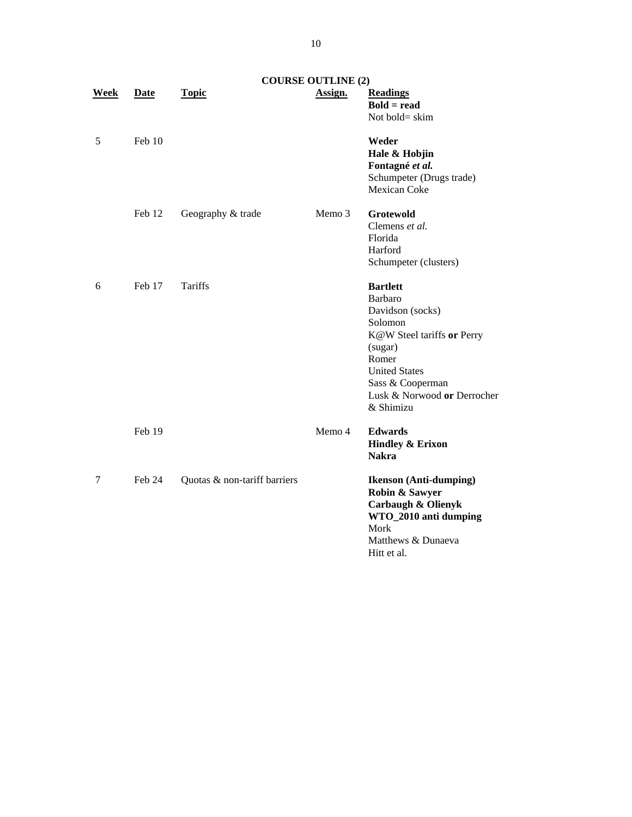|             |        |                              | <b>COURSE OUTLINE (2)</b> |                                                                                                                                                                                                     |
|-------------|--------|------------------------------|---------------------------|-----------------------------------------------------------------------------------------------------------------------------------------------------------------------------------------------------|
| <b>Week</b> | Date   | <b>Topic</b>                 | Assign.                   | <b>Readings</b><br>$Bold = read$<br>Not bold= skim                                                                                                                                                  |
| 5           | Feb 10 |                              |                           | Weder<br>Hale & Hobjin<br>Fontagné et al.<br>Schumpeter (Drugs trade)<br>Mexican Coke                                                                                                               |
|             | Feb 12 | Geography & trade            | Memo 3                    | <b>Grotewold</b><br>Clemens et al.<br>Florida<br>Harford<br>Schumpeter (clusters)                                                                                                                   |
| 6           | Feb 17 | Tariffs                      |                           | <b>Bartlett</b><br>Barbaro<br>Davidson (socks)<br>Solomon<br>K@W Steel tariffs or Perry<br>(sugar)<br>Romer<br><b>United States</b><br>Sass & Cooperman<br>Lusk & Norwood or Derrocher<br>& Shimizu |
|             | Feb 19 |                              | Memo 4                    | <b>Edwards</b><br><b>Hindley &amp; Erixon</b><br><b>Nakra</b>                                                                                                                                       |
| 7           | Feb 24 | Quotas & non-tariff barriers |                           | <b>Ikenson</b> (Anti-dumping)<br>Robin & Sawyer<br><b>Carbaugh &amp; Olienyk</b><br>WTO_2010 anti dumping<br>Mork<br>Matthews & Dunaeva<br>Hitt et al.                                              |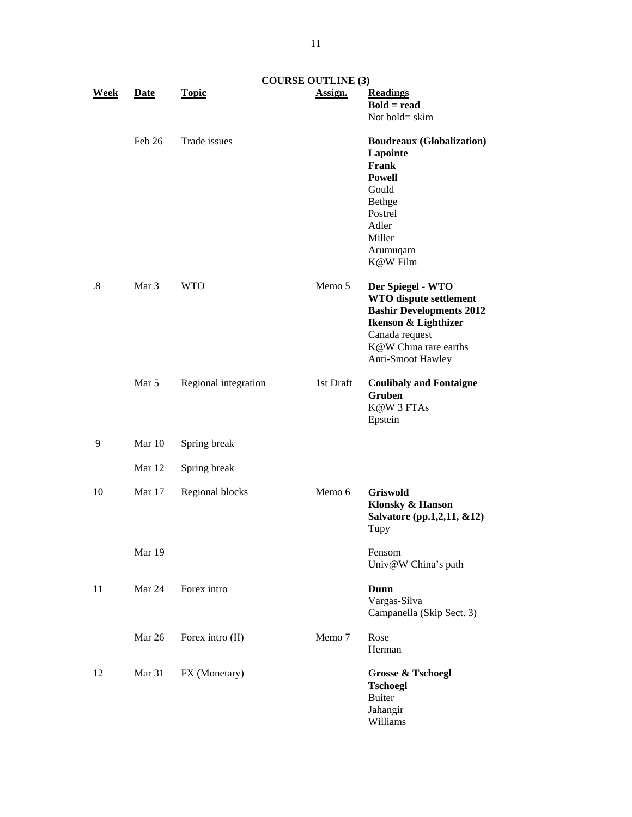|             |             | <b>COURSE OUTLINE (3)</b> |           |                                                                                                                                                                               |
|-------------|-------------|---------------------------|-----------|-------------------------------------------------------------------------------------------------------------------------------------------------------------------------------|
| <u>Week</u> | <b>Date</b> | <b>Topic</b>              | Assign.   | <b>Readings</b><br>$Bold = read$<br>Not bold= skim                                                                                                                            |
|             | Feb 26      | Trade issues              |           | <b>Boudreaux (Globalization)</b><br>Lapointe<br>Frank<br><b>Powell</b><br>Gould<br><b>Bethge</b><br>Postrel<br>Adler<br>Miller<br>Arumuqam<br>K@W Film                        |
| .8          | Mar 3       | <b>WTO</b>                | Memo 5    | Der Spiegel - WTO<br><b>WTO</b> dispute settlement<br><b>Bashir Developments 2012</b><br>Ikenson & Lighthizer<br>Canada request<br>K@W China rare earths<br>Anti-Smoot Hawley |
|             | Mar 5       | Regional integration      | 1st Draft | <b>Coulibaly and Fontaigne</b><br>Gruben<br>K@W 3 FTAs<br>Epstein                                                                                                             |
| 9           | Mar 10      | Spring break              |           |                                                                                                                                                                               |
|             | Mar 12      | Spring break              |           |                                                                                                                                                                               |
| 10          | Mar 17      | Regional blocks           | Memo 6    | <b>Griswold</b><br>Klonsky & Hanson<br>Salvatore (pp.1,2,11, &12)<br>Tupy                                                                                                     |
|             | Mar 19      |                           |           | Fensom<br>Univ@W China's path                                                                                                                                                 |
| 11          | Mar 24      | Forex intro               |           | Dunn<br>Vargas-Silva<br>Campanella (Skip Sect. 3)                                                                                                                             |
|             | Mar 26      | Forex intro (II)          | Memo 7    | Rose<br>Herman                                                                                                                                                                |
| 12          | Mar 31      | FX (Monetary)             |           | <b>Grosse &amp; Tschoegl</b><br><b>Tschoegl</b><br><b>Buiter</b><br>Jahangir<br>Williams                                                                                      |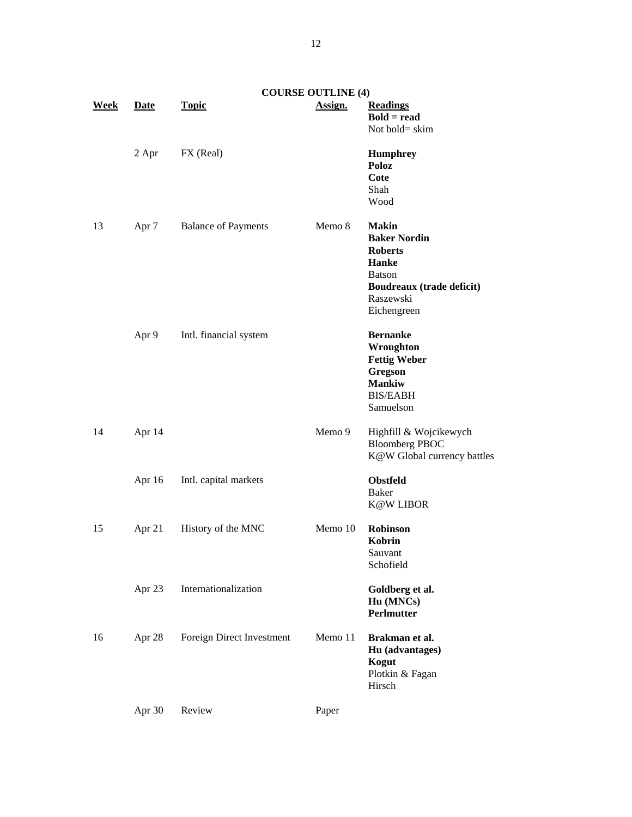|      |             |                            | <b>COURSE OUTLINE (4)</b> |                                                                                                                                          |
|------|-------------|----------------------------|---------------------------|------------------------------------------------------------------------------------------------------------------------------------------|
| Week | <b>Date</b> | <b>Topic</b>               | Assign.                   | <b>Readings</b><br>$Bold = read$<br>Not bold= skim                                                                                       |
|      | 2 Apr       | FX (Real)                  |                           | <b>Humphrey</b><br>Poloz<br>Cote<br>Shah<br>Wood                                                                                         |
| 13   | Apr 7       | <b>Balance of Payments</b> | Memo 8                    | <b>Makin</b><br><b>Baker Nordin</b><br><b>Roberts</b><br>Hanke<br><b>Batson</b><br>Boudreaux (trade deficit)<br>Raszewski<br>Eichengreen |
|      | Apr 9       | Intl. financial system     |                           | <b>Bernanke</b><br>Wroughton<br><b>Fettig Weber</b><br>Gregson<br><b>Mankiw</b><br><b>BIS/EABH</b><br>Samuelson                          |
| 14   | Apr 14      |                            | Memo 9                    | Highfill & Wojcikewych<br><b>Bloomberg PBOC</b><br>K@W Global currency battles                                                           |
|      | Apr 16      | Intl. capital markets      |                           | <b>Obstfeld</b><br><b>Baker</b><br><b>K@W LIBOR</b>                                                                                      |
| 15   | Apr 21      | History of the MNC         | Memo 10                   | Robinson<br>Kobrin<br>Sauvant<br>Schofield                                                                                               |
|      | Apr 23      | Internationalization       |                           | Goldberg et al.<br>Hu (MNCs)<br>Perlmutter                                                                                               |
| 16   | Apr 28      | Foreign Direct Investment  | Memo 11                   | Brakman et al.<br>Hu (advantages)<br>Kogut<br>Plotkin & Fagan<br>Hirsch                                                                  |
|      | Apr 30      | Review                     | Paper                     |                                                                                                                                          |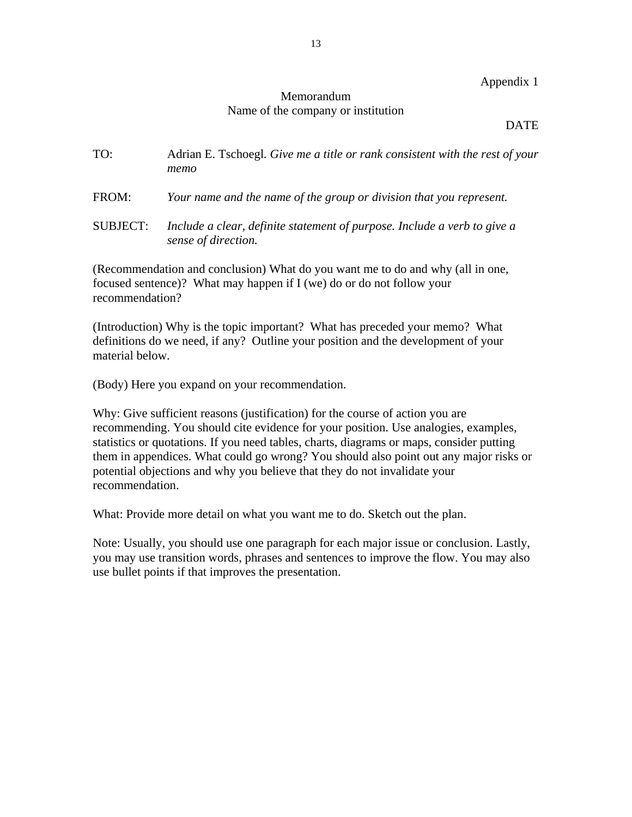### Appendix 1

# Memorandum Name of the company or institution

### DATE

- TO: Adrian E. Tschoegl*. Give me a title or rank consistent with the rest of your memo*
- FROM: *Your name and the name of the group or division that you represent.*
- SUBJECT: *Include a clear, definite statement of purpose. Include a verb to give a sense of direction.*

(Recommendation and conclusion) What do you want me to do and why (all in one, focused sentence)? What may happen if I (we) do or do not follow your recommendation?

(Introduction) Why is the topic important? What has preceded your memo? What definitions do we need, if any? Outline your position and the development of your material below.

(Body) Here you expand on your recommendation.

Why: Give sufficient reasons (justification) for the course of action you are recommending. You should cite evidence for your position. Use analogies, examples, statistics or quotations. If you need tables, charts, diagrams or maps, consider putting them in appendices. What could go wrong? You should also point out any major risks or potential objections and why you believe that they do not invalidate your recommendation.

What: Provide more detail on what you want me to do. Sketch out the plan.

Note: Usually, you should use one paragraph for each major issue or conclusion. Lastly, you may use transition words, phrases and sentences to improve the flow. You may also use bullet points if that improves the presentation.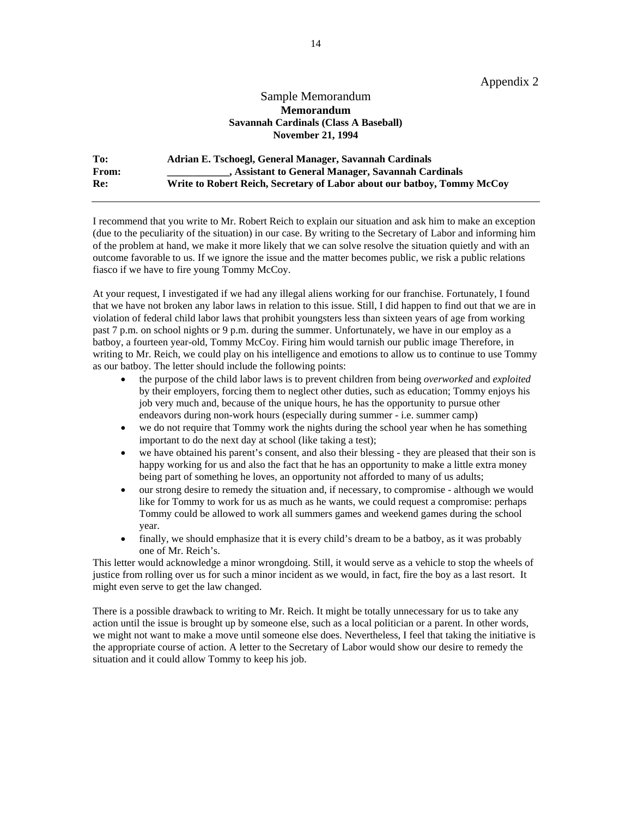Appendix 2

#### Sample Memorandum **Memorandum Savannah Cardinals (Class A Baseball) November 21, 1994**

| To:          | Adrian E. Tschoegl, General Manager, Savannah Cardinals                 |
|--------------|-------------------------------------------------------------------------|
| <b>From:</b> | , Assistant to General Manager, Savannah Cardinals                      |
| Re:          | Write to Robert Reich, Secretary of Labor about our batboy, Tommy McCoy |

I recommend that you write to Mr. Robert Reich to explain our situation and ask him to make an exception (due to the peculiarity of the situation) in our case. By writing to the Secretary of Labor and informing him of the problem at hand, we make it more likely that we can solve resolve the situation quietly and with an outcome favorable to us. If we ignore the issue and the matter becomes public, we risk a public relations fiasco if we have to fire young Tommy McCoy.

At your request, I investigated if we had any illegal aliens working for our franchise. Fortunately, I found that we have not broken any labor laws in relation to this issue. Still, I did happen to find out that we are in violation of federal child labor laws that prohibit youngsters less than sixteen years of age from working past 7 p.m. on school nights or 9 p.m. during the summer. Unfortunately, we have in our employ as a batboy, a fourteen year-old, Tommy McCoy. Firing him would tarnish our public image Therefore, in writing to Mr. Reich, we could play on his intelligence and emotions to allow us to continue to use Tommy as our batboy. The letter should include the following points:

- the purpose of the child labor laws is to prevent children from being *overworked* and *exploited* by their employers, forcing them to neglect other duties, such as education; Tommy enjoys his job very much and, because of the unique hours, he has the opportunity to pursue other endeavors during non-work hours (especially during summer - i.e. summer camp)
- we do not require that Tommy work the nights during the school year when he has something important to do the next day at school (like taking a test);
- we have obtained his parent's consent, and also their blessing they are pleased that their son is happy working for us and also the fact that he has an opportunity to make a little extra money being part of something he loves, an opportunity not afforded to many of us adults;
- our strong desire to remedy the situation and, if necessary, to compromise although we would like for Tommy to work for us as much as he wants, we could request a compromise: perhaps Tommy could be allowed to work all summers games and weekend games during the school year.
- finally, we should emphasize that it is every child's dream to be a batboy, as it was probably one of Mr. Reich's.

This letter would acknowledge a minor wrongdoing. Still, it would serve as a vehicle to stop the wheels of justice from rolling over us for such a minor incident as we would, in fact, fire the boy as a last resort. It might even serve to get the law changed.

There is a possible drawback to writing to Mr. Reich. It might be totally unnecessary for us to take any action until the issue is brought up by someone else, such as a local politician or a parent. In other words, we might not want to make a move until someone else does. Nevertheless, I feel that taking the initiative is the appropriate course of action. A letter to the Secretary of Labor would show our desire to remedy the situation and it could allow Tommy to keep his job.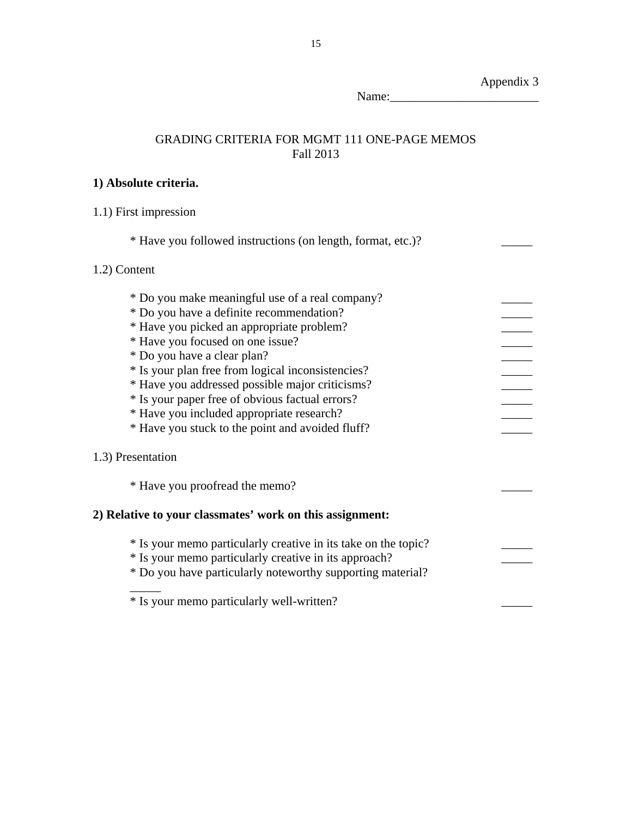GRADING CRITERIA FOR MGMT 111 ONE-PAGE MEMOS Fall 2013 **1) Absolute criteria.**  1.1) First impression \* Have you followed instructions (on length, format, etc.)? \_\_\_\_\_ 1.2) Content \* Do you make meaningful use of a real company? \_\_\_\_\_ \* Do you have a definite recommendation? \_\_\_\_\_ \* Have you picked an appropriate problem? \_\_\_\_\_ \* Have you focused on one issue? \_\_\_\_\_ \* Do you have a clear plan? \_\_\_\_\_ \* Is your plan free from logical inconsistencies? \_\_\_\_\_ \* Have you addressed possible major criticisms? \_\_\_\_\_ \* Is your paper free of obvious factual errors? \_\_\_\_\_ \* Have you included appropriate research? \_\_\_\_\_ \* Have you stuck to the point and avoided fluff? \_\_\_\_\_ 1.3) Presentation \* Have you proofread the memo? \_\_\_\_\_ **2) Relative to your classmates' work on this assignment:**  \* Is your memo particularly creative in its take on the topic? \_\_\_\_\_ \* Is your memo particularly creative in its approach? \_\_\_\_\_ \* Do you have particularly noteworthy supporting material?  $\frac{1}{2}$ 

\* Is your memo particularly well-written? \_\_\_\_\_

Appendix 3

Name:\_\_\_\_\_\_\_\_\_\_\_\_\_\_\_\_\_\_\_\_\_\_\_\_